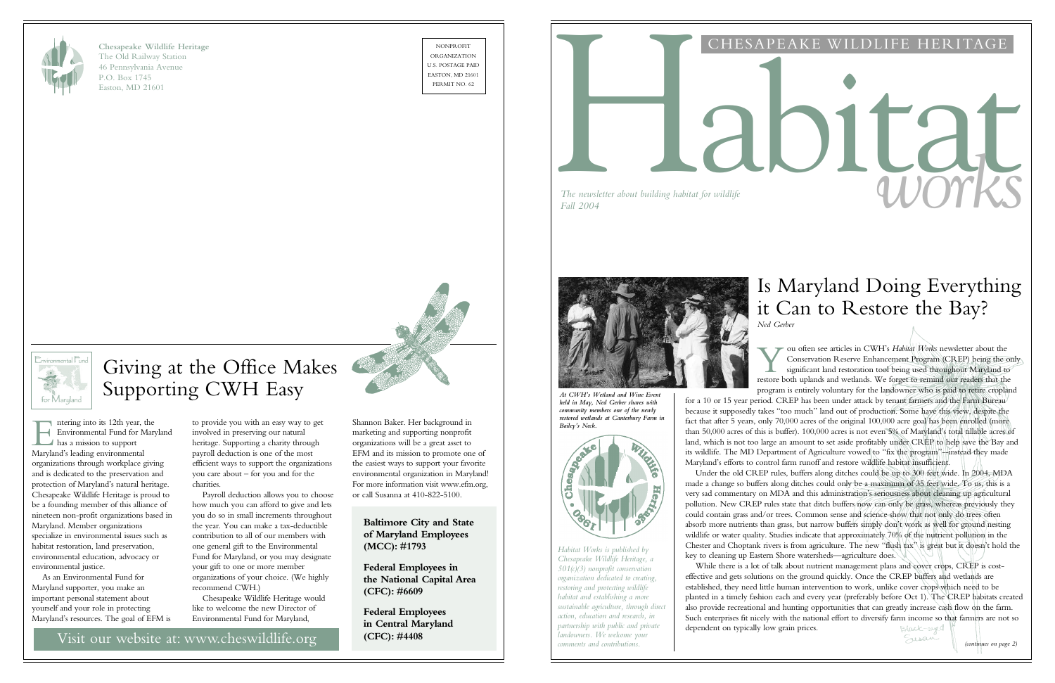

**Chesapeake Wildlife Heritage** The Old Railway Station 46 Pennsylvania Avenue P.O. Box 1745 Easton, MD 21601

NONPROFIT ORGANIZATION U.S. POSTAGE PAID EASTON, MD 21601



### CHESAPEAKE WILDLIFE HERITAGE

# *The newsletter about building habitat for wildlife* and a set of a set of a set of  $\mathcal W$

*The newsletter about building habitat for wildlife*



# Is Maryland Doing Everything it Can to Restore the Bay?

*Ned Gerber*

V ou often see articles in CWH's Habitat Works newsletter about the Conservation Reserve Enhancement Program (CREP) being the originificant land restoration tool being used throughout Maryland to restore both uplands and w ou often see articles in CWH's *Habitat Works* newsletter about the Conservation Reserve Enhancement Program (CREP) being the only significant land restoration tool being used throughout Maryland to program is entirely voluntary for the landowner who is paid to retire cropland

for a 10 or 15 year period. CREP has been under attack by tenant farmers and the Farm Bureau because it supposedly takes "too much" land out of production. Some have this view, despite the fact that after 5 years, only 70,000 acres of the original 100,000 acre goal has been enrolled (more than 50,000 acres of this is buffer). 100,000 acres is not even 5% of Maryland's total tillable acres of land, which is not too large an amount to set aside profitably under CREP to help save the Bay and its wildlife. The MD Department of Agriculture vowed to "fix the program"--instead they made Maryland's efforts to control farm runoff and restore wildlife habitat insufficient.

*Habitat Works is published by Chesapeake Wildlife Heritage, a 501(c)(3) nonprofit conservation organization dedicated to creating, restoring and protecting wildlife habitat and establishing a more sustainable agriculture, through direct action, education and research, in partnership with public and private landowners. We welcome your comments and contributions.*  $\blacksquare$  (continues on page 2)

Under the old CREP rules, buffers along ditches could be up to 300 feet wide. In 2004, MDA made a change so buffers along ditches could only be a maximum of 35 feet wide. To us, this is a very sad commentary on MDA and this administration's seriousness about cleaning up agricultural pollution. New CREP rules state that ditch buffers now can only be grass, whereas previously they could contain grass and/or trees. Common sense and science show that not only do trees often absorb more nutrients than grass, but narrow buffers simply don't work as well for ground nesting wildlife or water quality. Studies indicate that approximately 70% of the nutrient pollution in the Chester and Choptank rivers is from agriculture. The new "flush tax" is great but it doesn't hold the key to cleaning up Eastern Shore watersheds—agriculture does.

ntering into its 12th year,<br>Environmental Fund for N<br>has a mission to support<br>Maryland's leading environmental ntering into its 12th year, the Environmental Fund for Maryland has a mission to support organizations through workplace giving and is dedicated to the preservation and protection of Maryland's natural heritage. Chesapeake Wildlife Heritage is proud to be a founding member of this alliance of nineteen non-profit organizations based in Maryland. Member organizations specialize in environmental issues such as habitat restoration, land preservation, environmental education, advocacy or environmental justice.

While there is a lot of talk about nutrient management plans and cover crops, CREP is costeffective and gets solutions on the ground quickly. Once the CREP buffers and wetlands are established, they need little human intervention to work, unlike cover crops which need to be planted in a timely fashion each and every year (preferably before Oct 1). The CREP habitats created also provide recreational and hunting opportunities that can greatly increase cash flow on the farm. Such enterprises fit nicely with the national effort to diversify farm income so that farmers are not so Black-eyed dependent on typically low grain prices.

to provide you with an easy way to get involved in preserving our natural heritage. Supporting a charity through payroll deduction is one of the most efficient ways to support the organizations you care about – for you and for the charities.

Payroll deduction allows you to choose how much you can afford to give and lets you do so in small increments throughout the year. You can make a tax-deductible contribution to all of our members with one general gift to the Environmental Fund for Maryland, or you may designate your gift to one or more member organizations of your choice. (We highly recommend CWH.)

Chesapeake Wildlife Heritage would like to welcome the new Director of Environmental Fund for Maryland,

As an Environmental Fund for Maryland supporter, you make an important personal statement about yourself and your role in protecting Maryland's resources. The goal of EFM is

### **Baltimore City and State of Maryland Employees (MCC): #1793**

**Federal Employees in the National Capital Area (CFC): #6609**

**Federal Employees in Central Maryland (CFC): #4408**



*At CWH's Wetland and Wine Event held in May, Ned Gerber shares with community members one of the newly restored wetlands at Canterbury Farm in Bailey's Neck.* 



# Giving at the Office Makes Supporting CWH Easy

Shannon Baker. Her background in marketing and supporting nonprofit organizations will be a great asset to EFM and its mission to promote one of the easiest ways to support your favorite environmental organization in Maryland! For more information visit www.efm.org, or call Susanna at 410-822-5100.

Visit our website at: www.cheswildlife.org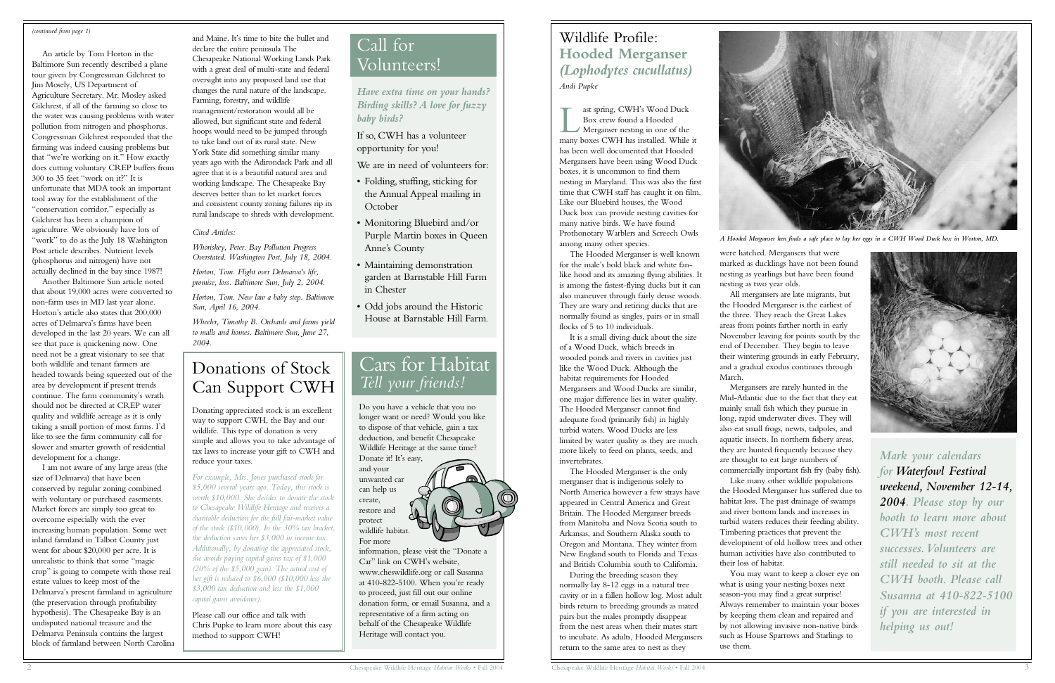## Wildlife Profile: **Hooded Merganser** *(Lophodytes cucullatus) Andi Pupke*

 $\prod_{\substack{\text{many}}}$ ast spring, CWH's Wood Duck Box crew found a Hooded Merganser nesting in one of the many boxes CWH has installed. While it has been well documented that Hooded Mergansers have been using Wood Duck boxes, it is uncommon to find them nesting in Maryland. This was also the first time that CWH staff has caught it on film. Like our Bluebird houses, the Wood Duck box can provide nesting cavities for many native birds. We have found Prothonotary Warblers and Screech Owls among many other species.

The Hooded Merganser is well known for the male's bold black and white fanlike hood and its amazing flying abilities. It is among the fastest-flying ducks but it can also maneuver through fairly dense woods. They are wary and retiring ducks that are normally found as singles, pairs or in small flocks of 5 to 10 individuals.

It is a small diving duck about the size of a Wood Duck, which breeds in wooded ponds and rivers in cavities just like the Wood Duck. Although the habitat requirements for Hooded Mergansers and Wood Ducks are similar, one major difference lies in water quality. The Hooded Merganser cannot find adequate food (primarily fish) in highly turbid waters. Wood Ducks are less limited by water quality as they are much more likely to feed on plants, seeds, and invertebrates.

The Hooded Merganser is the only merganser that is indigenous solely to North America however a few strays have appeared in Central America and Great Britain. The Hooded Merganser breeds from Manitoba and Nova Scotia south to Arkansas, and Southern Alaska south to Oregon and Montana. They winter from New England south to Florida and Texas and British Columbia south to California.

During the breeding season they normally lay 8-12 eggs in a natural tree cavity or in a fallen hollow log. Most adult birds return to breeding grounds as mated pairs but the males promptly disappear from the nest areas when their mates start to incubate. As adults, Hooded Mergansers return to the same area to nest as they

were hatched. Mergansers that were marked as ducklings have not been found nesting as yearlings but have been found nesting as two year olds.

All mergansers are late migrants, but the Hooded Merganser is the earliest of the three. They reach the Great Lakes areas from points farther north in early November leaving for points south by the end of December. They begin to leave their wintering grounds in early February, and a gradual exodus continues through



March.

Mergansers are rarely hunted in the Mid-Atlantic due to the fact that they eat mainly small fish which they pursue in long, rapid underwater dives. They will also eat small frogs, newts, tadpoles, and aquatic insects. In northern fishery areas, they are hunted frequently because they are thought to eat large numbers of commercially important fish fry (baby fish). Like many other wildlife populations the Hooded Merganser has suffered due to habitat loss. The past drainage of swamps and river bottom lands and increases in turbid waters reduces their feeding ability. Timbering practices that prevent the development of old hollow trees and other human activities have also contributed to their loss of habitat.

You may want to keep a closer eye on what is using your nesting boxes next season-you may find a great surprise! Always remember to maintain your boxes by keeping them clean and repaired and by not allowing invasive non-native birds such as House Sparrows and Starlings to use them.

# Call for Volunteers!

*Have extra time on your hands? Birding skills? A love for fuzzy baby birds?* 

If so, CWH has a volunteer opportunity for you!

We are in need of volunteers for:

- Folding, stuffing, sticking for the Annual Appeal mailing in **October**
- Monitoring Bluebird and/or Purple Martin boxes in Queen Anne's County
- Maintaining demonstration garden at Barnstable Hill Farm in Chester
- Odd jobs around the Historic House at Barnstable Hill Farm.

An article by Tom Horton in the Baltimore Sun recently described a plane tour given by Congressman Gilchrest to Jim Mosely, US Department of Agriculture Secretary. Mr. Mosley asked Gilchrest, if all of the farming so close to the water was causing problems with water pollution from nitrogen and phosphorus. Congressman Gilchrest responded that the farming was indeed causing problems but that "we're working on it." How exactly does cutting voluntary CREP buffers from 300 to 35 feet "work on it?" It is unfortunate that MDA took an important tool away for the establishment of the "conservation corridor," especially as Gilchrest has been a champion of agriculture. We obviously have lots of "work" to do as the July 18 Washington Post article describes. Nutrient levels (phosphorus and nitrogen) have not actually declined in the bay since 1987!

Another Baltimore Sun article noted that about 19,000 acres were converted to non-farm uses in MD last year alone. Horton's article also states that 200,000 acres of Delmarva's farms have been developed in the last 20 years. We can all see that pace is quickening now. One need not be a great visionary to see that both wildlife and tenant farmers are headed towards being squeezed out of the area by development if present trends continue. The farm community's wrath should not be directed at CREP water quality and wildlife acreage as it is only taking a small portion of most farms. I'd like to see the farm community call for slower and smarter growth of residential development for a change.

I am not aware of any large areas (the size of Delmarva) that have been conserved by regular zoning combined with voluntary or purchased easements. Market forces are simply too great to overcome especially with the ever increasing human population. Some wet inland farmland in Talbot County just went for about \$20,000 per acre. It is unrealistic to think that some "magic crop" is going to compete with those real estate values to keep most of the Delmarva's present farmland in agriculture (the preservation through profitability hypothesis). The Chesapeake Bay is an undisputed national treasure and the Delmarva Peninsula contains the largest block of farmland between North Carolina

and Maine. It's time to bite the bullet and declare the entire peninsula The Chesapeake National Working Lands Park with a great deal of multi-state and federal oversight into any proposed land use that changes the rural nature of the landscape. Farming, forestry, and wildlife management/restoration would all be allowed, but significant state and federal hoops would need to be jumped through to take land out of its rural state. New York State did something similar many years ago with the Adirondack Park and all agree that it is a beautiful natural area and working landscape. The Chesapeake Bay deserves better than to let market forces and consistent county zoning failures rip its

rural landscape to shreds with development.

### *Cited Articles:*

*Whoriskey, Peter. Bay Pollution Progress Overstated. Washington Post, July 18, 2004.* 

*Horton, Tom. Flight over Delmarva's life, promise, loss. Baltimore Sun, July 2, 2004.* 

*Horton, Tom. New law a baby step. Baltimore Sun, April 16, 2004.* 

*Wheeler, Timothy B. Orchards and farms yield to malls and homes. Baltimore Sun, June 27, 2004.* 

### *(continued from page 1)*



*A Hooded Merganser hen finds a safe place to lay her eggs in a CWH Wood Duck box in Worton, MD.*

# Cars for Habitat *Tell your friends!*

Do you have a vehicle that you no longer want or need? Would you like to dispose of that vehicle, gain a tax deduction, and benefit Chesapeake Wildlife Heritage at the same time? Donate it! It's easy, and your unwanted car can help us create, restore and protect

wildlife habitat. For more

information, please visit the "Donate a Car" link on CWH's website, www.cheswildlife.org or call Susanna at 410-822-5100. When you're ready to proceed, just fill out our online donation form, or email Susanna, and a representative of a firm acting on behalf of the Chesapeake Wildlife Heritage will contact you.

*Mark your calendars for Waterfowl Festival weekend, November 12-14, 2004. Please stop by our booth to learn more about CWH's most recent successes.Volunteers are still needed to sit at the CWH booth. Please call Susanna at 410-822-5100 if you are interested in helping us out!*

# Donations of Stock Can Support CWH

Donating appreciated stock is an excellent way to support CWH, the Bay and our wildlife. This type of donation is very simple and allows you to take advantage of tax laws to increase your gift to CWH and reduce your taxes.

*For example, Mrs. Jones purchased stock for \$5,000 several years ago. Today, this stock is worth \$10,000. She decides to donate the stock to Chesapeake Wildlife Heritage and receives a charitable deduction for the full fair-market value of the stock (\$10,000). In the 30% tax bracket, the deduction saves her \$3,000 in income tax. Additionally, by donating the appreciated stock, she avoids paying capital gains tax of \$1,000 (20% of the \$5,000 gain). The actual cost of her gift is reduced to \$6,000 (\$10,000 less the \$3,000 tax deduction and less the \$1,000 capital gains avoidance).*

Please call our office and talk with Chris Pupke to learn more about this easy method to support CWH!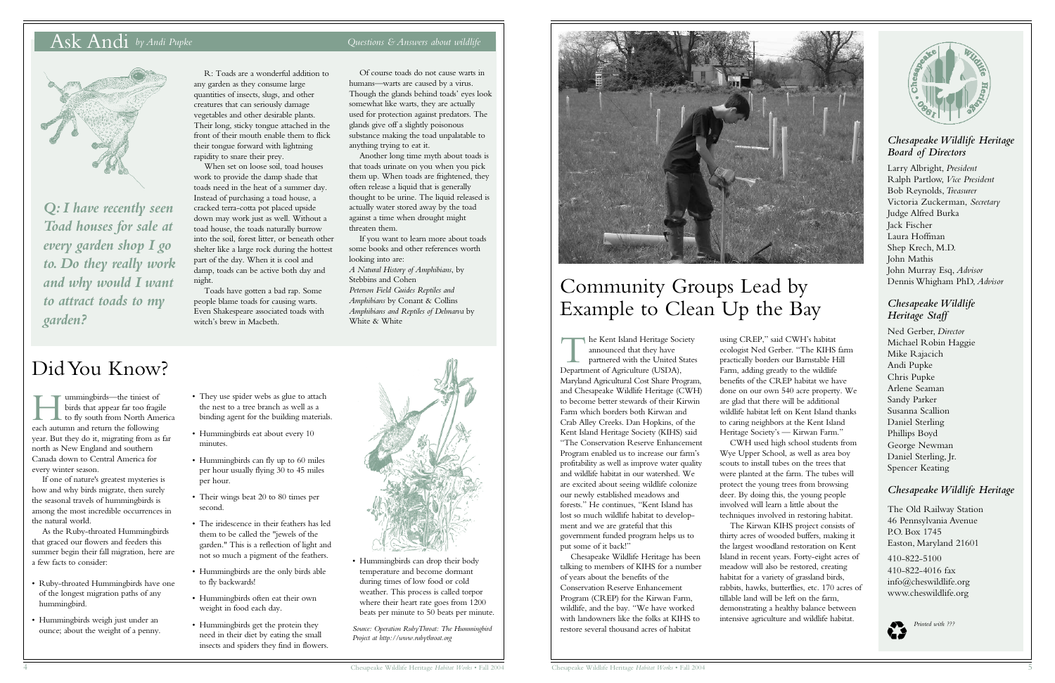### R: Toads are a wonderful addition to any garden as they consume large quantities of insects, slugs, and other creatures that can seriously damage vegetables and other desirable plants. Their long, sticky tongue attached in the front of their mouth enable them to flick their tongue forward with lightning rapidity to snare their prey.

When set on loose soil, toad houses work to provide the damp shade that toads need in the heat of a summer day. Instead of purchasing a toad house, a cracked terra-cotta pot placed upside down may work just as well. Without a toad house, the toads naturally burrow into the soil, forest litter, or beneath other shelter like a large rock during the hottest part of the day. When it is cool and damp, toads can be active both day and night.

Toads have gotten a bad rap. Some people blame toads for causing warts. Even Shakespeare associated toads with witch's brew in Macbeth.

Of course toads do not cause warts in humans—warts are caused by a virus. Though the glands behind toads' eyes look somewhat like warts, they are actually used for protection against predators. The glands give off a slightly poisonous substance making the toad unpalatable to anything trying to eat it.

Another long time myth about toads is that toads urinate on you when you pick them up. When toads are frightened, they often release a liquid that is generally thought to be urine. The liquid released is actually water stored away by the toad against a time when drought might threaten them.

If you want to learn more about toads some books and other references worth looking into are: *A Natural History of Amphibians*, by Stebbins and Cohen *Peterson Field Guides Reptiles and Amphibians* by Conant & Collins *Amphibians and Reptiles of Delmarva* by White & White





### *Chesapeake Wildlife Heritage Board of Directors*

Larry Albright, *President* Ralph Partlow, *Vice President* Bob Reynolds,*Treasurer* Victoria Zuckerman, *Secretary* Judge Alfred Burka Jack Fischer Laura Hoffman Shep Krech, M.D. John Mathis John Murray Esq, *Advisor* Dennis Whigham PhD, *Advisor*

### *Chesapeake Wildlife Heritage Staff*

The Kent Island Heritage Soc<br>
announced that they have<br>
partnered with the United S<br>
Department of Agriculture (USDA), he Kent Island Heritage Society announced that they have partnered with the United States Maryland Agricultural Cost Share Program, and Chesapeake Wildlife Heritage (CWH) to become better stewards of their Kirwin Farm which borders both Kirwan and Crab Alley Creeks. Dan Hopkins, of the Kent Island Heritage Society (KIHS) said "The Conservation Reserve Enhancement Program enabled us to increase our farm's profitability as well as improve water quality and wildlife habitat in our watershed. We are excited about seeing wildlife colonize our newly established meadows and forests." He continues, "Kent Island has lost so much wildlife habitat to development and we are grateful that this government funded program helps us to put some of it back!"

Ned Gerber, *Director* Michael Robin Haggie Mike Rajacich Andi Pupke Chris Pupke Arlene Seaman Sandy Parker Susanna Scallion Daniel Sterling Phillips Boyd George Newman Daniel Sterling, Jr. Spencer Keating

### *Chesapeake Wildlife Heritage*

The Old Railway Station 46 Pennsylvania Avenue P.O. Box 1745 Easton, Maryland 21601

I ummingbirds—the tiniest of<br>birds that appear far too frag<br>to fly south from North Am<br>each autumn and return the following birds that appear far too fragile **L** to fly south from North America year. But they do it, migrating from as far north as New England and southern Canada down to Central America for every winter season.

> 410-822-5100 410-822-4016 fax info@cheswildlife.org www.cheswildlife.org

using CREP," said CWH's habitat ecologist Ned Gerber. "The KIHS farm practically borders our Barnstable Hill Farm, adding greatly to the wildlife benefits of the CREP habitat we have done on our own 540 acre property. We are glad that there will be additional wildlife habitat left on Kent Island thanks to caring neighbors at the Kent Island Heritage Society's — Kirwan Farm." CWH used high school students from Wye Upper School, as well as area boy scouts to install tubes on the trees that were planted at the farm. The tubes will protect the young trees from browsing deer. By doing this, the young people involved will learn a little about the techniques involved in restoring habitat. The Kirwan KIHS project consists of thirty acres of wooded buffers, making it the largest woodland restoration on Kent Island in recent years. Forty-eight acres of meadow will also be restored, creating habitat for a variety of grassland birds, rabbits, hawks, butterflies, etc. 170 acres of tillable land will be left on the farm, demonstrating a healthy balance between intensive agriculture and wildlife habitat.

Chesapeake Wildlife Heritage has been talking to members of KIHS for a number of years about the benefits of the Conservation Reserve Enhancement Program (CREP) for the Kirwan Farm, wildlife, and the bay. "We have worked with landowners like the folks at KIHS to restore several thousand acres of habitat

# Community Groups Lead by Example to Clean Up the Bay

*Printed with ???*

If one of nature's greatest mysteries is how and why birds migrate, then surely the seasonal travels of hummingbirds is among the most incredible occurrences in the natural world.

As the Ruby-throated Hummingbirds that graced our flowers and feeders this summer begin their fall migration, here are a few facts to consider:

- Ruby-throated Hummingbirds have one of the longest migration paths of any hummingbird.
- Hummingbirds weigh just under an ounce; about the weight of a penny.

• They use spider webs as glue to attach the nest to a tree branch as well as a binding agent for the building materials.

• Hummingbirds eat about every 10

minutes.

• Hummingbirds can fly up to 60 miles per hour usually flying 30 to 45 miles

ummingbirds—the tiniest of Did You Know?

per hour.

• Their wings beat 20 to 80 times per

second.

- The iridescence in their feathers has led them to be called the "jewels of the garden." This is a reflection of light and
- not so much a pigment of the feathers. • Hummingbirds are the only birds able to fly backwards!
- Hummingbirds often eat their own weight in food each day.
- Hummingbirds get the protein they need in their diet by eating the small insects and spiders they find in flowers.

• Hummingbirds can drop their body temperature and become dormant during times of low food or cold weather. This process is called torpor where their heart rate goes from 1200 beats per minute to 50 beats per minute.

*Source: Operation RubyThroat: The Hummingbird Project at http://www.rubythroat.org*



# $\operatorname{Ask}\nolimits$  Andi  $\operatorname{b}$ y Andi Pupke  $\operatorname{Q}$ uestions & Answers about wildlife



*Q: I have recently seen Toad houses for sale at every garden shop I go to. Do they really work and why would I want to attract toads to my garden?*